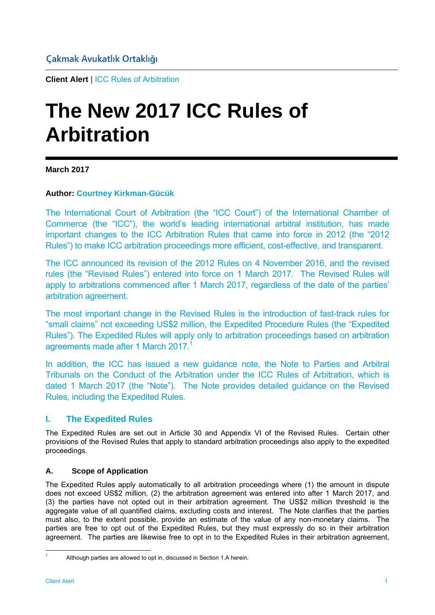**Client Alert** | ICC Rules of Arbitration

# **The New 2017 ICC Rules of Arbitration**

#### **March 2017**

#### **Author: Courtney Kirkman-Gücük**

The International Court of Arbitration (the "ICC Court") of the International Chamber of Commerce (the "ICC"), the world's leading international arbitral institution, has made important changes to the ICC Arbitration Rules that came into force in 2012 (the "2012 Rules") to make ICC arbitration proceedings more efficient, cost-effective, and transparent.

The ICC announced its revision of the 2012 Rules on 4 November 2016, and the revised rules (the "Revised Rules") entered into force on 1 March 2017. The Revised Rules will apply to arbitrations commenced after 1 March 2017, regardless of the date of the parties' arbitration agreement.

The most important change in the Revised Rules is the introduction of fast-track rules for "small claims" not exceeding US\$2 million, the Expedited Procedure Rules (the "Expedited Rules"). The Expedited Rules will apply only to arbitration proceedings based on arbitration agreements made after 1 March 2017.<sup>1</sup>

In addition, the ICC has issued a new guidance note, the Note to Parties and Arbitral Tribunals on the Conduct of the Arbitration under the ICC Rules of Arbitration, which is dated 1 March 2017 (the "Note"). The Note provides detailed guidance on the Revised Rules, including the Expedited Rules.

## **I. The Expedited Rules**

The Expedited Rules are set out in Article 30 and Appendix VI of the Revised Rules. Certain other provisions of the Revised Rules that apply to standard arbitration proceedings also apply to the expedited proceedings.

#### **A. Scope of Application**

The Expedited Rules apply automatically to all arbitration proceedings where (1) the amount in dispute does not exceed US\$2 million, (2) the arbitration agreement was entered into after 1 March 2017, and (3) the parties have not opted out in their arbitration agreement. The US\$2 million threshold is the aggregate value of all quantified claims, excluding costs and interest. The Note clarifies that the parties must also, to the extent possible, provide an estimate of the value of any non-monetary claims. The parties are free to opt out of the Expedited Rules, but they must expressly do so in their arbitration agreement. The parties are likewise free to opt in to the Expedited Rules in their arbitration agreement,

l

<sup>1</sup> Although parties are allowed to opt in, discussed in Section 1.A herein.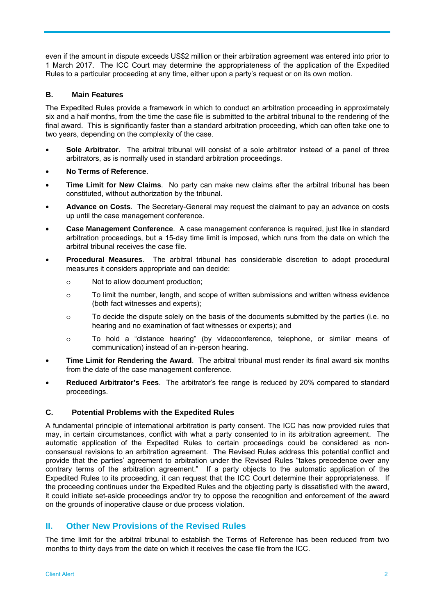even if the amount in dispute exceeds US\$2 million or their arbitration agreement was entered into prior to 1 March 2017. The ICC Court may determine the appropriateness of the application of the Expedited Rules to a particular proceeding at any time, either upon a party's request or on its own motion.

#### **B. Main Features**

The Expedited Rules provide a framework in which to conduct an arbitration proceeding in approximately six and a half months, from the time the case file is submitted to the arbitral tribunal to the rendering of the final award. This is significantly faster than a standard arbitration proceeding, which can often take one to two years, depending on the complexity of the case.

- **Sole Arbitrator**. The arbitral tribunal will consist of a sole arbitrator instead of a panel of three arbitrators, as is normally used in standard arbitration proceedings.
- **No Terms of Reference**.
- **Time Limit for New Claims**. No party can make new claims after the arbitral tribunal has been constituted, without authorization by the tribunal.
- **Advance on Costs**. The Secretary-General may request the claimant to pay an advance on costs up until the case management conference.
- **Case Management Conference**. A case management conference is required, just like in standard arbitration proceedings, but a 15-day time limit is imposed, which runs from the date on which the arbitral tribunal receives the case file.
- **Procedural Measures**. The arbitral tribunal has considerable discretion to adopt procedural measures it considers appropriate and can decide:
	- o Not to allow document production;
	- o To limit the number, length, and scope of written submissions and written witness evidence (both fact witnesses and experts);
	- o To decide the dispute solely on the basis of the documents submitted by the parties (i.e. no hearing and no examination of fact witnesses or experts); and
	- o To hold a "distance hearing" (by videoconference, telephone, or similar means of communication) instead of an in-person hearing.
- **Time Limit for Rendering the Award**. The arbitral tribunal must render its final award six months from the date of the case management conference.
- **Reduced Arbitrator's Fees**. The arbitrator's fee range is reduced by 20% compared to standard proceedings.

#### **C. Potential Problems with the Expedited Rules**

A fundamental principle of international arbitration is party consent. The ICC has now provided rules that may, in certain circumstances, conflict with what a party consented to in its arbitration agreement. The automatic application of the Expedited Rules to certain proceedings could be considered as nonconsensual revisions to an arbitration agreement. The Revised Rules address this potential conflict and provide that the parties' agreement to arbitration under the Revised Rules "takes precedence over any contrary terms of the arbitration agreement." If a party objects to the automatic application of the Expedited Rules to its proceeding, it can request that the ICC Court determine their appropriateness. If the proceeding continues under the Expedited Rules and the objecting party is dissatisfied with the award, it could initiate set-aside proceedings and/or try to oppose the recognition and enforcement of the award on the grounds of inoperative clause or due process violation.

# **II. Other New Provisions of the Revised Rules**

The time limit for the arbitral tribunal to establish the Terms of Reference has been reduced from two months to thirty days from the date on which it receives the case file from the ICC.